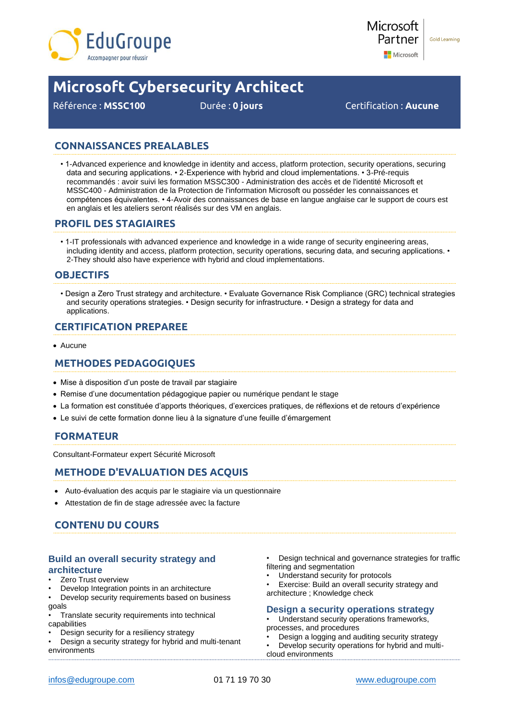



# **Microsoft Cybersecurity Architect**

Référence : **MSSC100** Durée : **0 jours** Certification : **Aucune**

# **CONNAISSANCES PREALABLES**

• 1-Advanced experience and knowledge in identity and access, platform protection, security operations, securing data and securing applications. • 2-Experience with hybrid and cloud implementations. • 3-Pré-requis recommandés : avoir suivi les formation MSSC300 - Administration des accès et de l'identité Microsoft et MSSC400 - Administration de la Protection de l'information Microsoft ou posséder les connaissances et compétences équivalentes. • 4-Avoir des connaissances de base en langue anglaise car le support de cours est en anglais et les ateliers seront réalisés sur des VM en anglais.

## **PROFIL DES STAGIAIRES**

• 1-IT professionals with advanced experience and knowledge in a wide range of security engineering areas, including identity and access, platform protection, security operations, securing data, and securing applications. • 2-They should also have experience with hybrid and cloud implementations.

## **OBJECTIFS**

• Design a Zero Trust strategy and architecture. • Evaluate Governance Risk Compliance (GRC) technical strategies and security operations strategies. • Design security for infrastructure. • Design a strategy for data and applications.

## **CERTIFICATION PREPAREE**

• Aucune

# **METHODES PEDAGOGIQUES**

- Mise à disposition d'un poste de travail par stagiaire
- Remise d'une documentation pédagogique papier ou numérique pendant le stage
- La formation est constituée d'apports théoriques, d'exercices pratiques, de réflexions et de retours d'expérience
- Le suivi de cette formation donne lieu à la signature d'une feuille d'émargement

## **FORMATEUR**

Consultant-Formateur expert Sécurité Microsoft

## **METHODE D'EVALUATION DES ACQUIS**

- Auto-évaluation des acquis par le stagiaire via un questionnaire
- Attestation de fin de stage adressée avec la facture

# **CONTENU DU COURS**

## **Build an overall security strategy and architecture**

- Zero Trust overview
- Develop Integration points in an architecture
- Develop security requirements based on business goals
- Translate security requirements into technical capabilities
- Design security for a resiliency strategy
- Design a security strategy for hybrid and multi-tenant environments
- Design technical and governance strategies for traffic filtering and segmentation
- Understand security for protocols
- Exercise: Build an overall security strategy and architecture ; Knowledge check

#### **Design a security operations strategy**

Understand security operations frameworks, processes, and procedures

- Design a logging and auditing security strategy
- Develop security operations for hybrid and multicloud environments